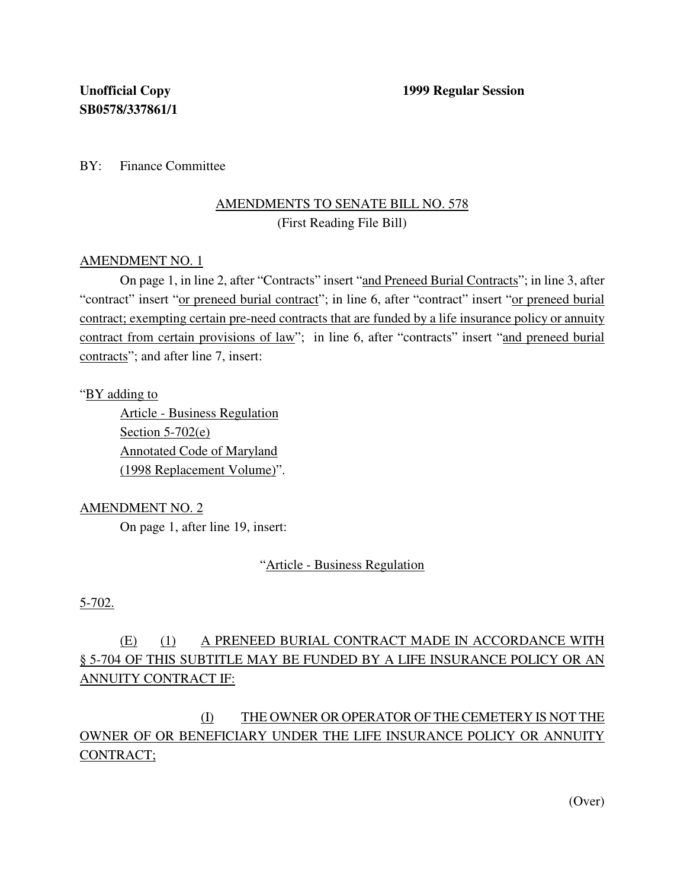BY: Finance Committee

# AMENDMENTS TO SENATE BILL NO. 578 (First Reading File Bill)

## AMENDMENT NO. 1

On page 1, in line 2, after "Contracts" insert "and Preneed Burial Contracts"; in line 3, after "contract" insert "or preneed burial contract"; in line 6, after "contract" insert "or preneed burial contract; exempting certain pre-need contracts that are funded by a life insurance policy or annuity contract from certain provisions of law"; in line 6, after "contracts" insert "and preneed burial contracts"; and after line 7, insert:

## "BY adding to

Article - Business Regulation Section  $5-702(e)$ Annotated Code of Maryland (1998 Replacement Volume)".

## AMENDMENT NO. 2

On page 1, after line 19, insert:

"Article - Business Regulation

## 5-702.

# (E) (1) A PRENEED BURIAL CONTRACT MADE IN ACCORDANCE WITH § 5-704 OF THIS SUBTITLE MAY BE FUNDED BY A LIFE INSURANCE POLICY OR AN ANNUITY CONTRACT IF:

# (I) THE OWNER OR OPERATOR OF THE CEMETERY IS NOT THE OWNER OF OR BENEFICIARY UNDER THE LIFE INSURANCE POLICY OR ANNUITY CONTRACT;

(Over)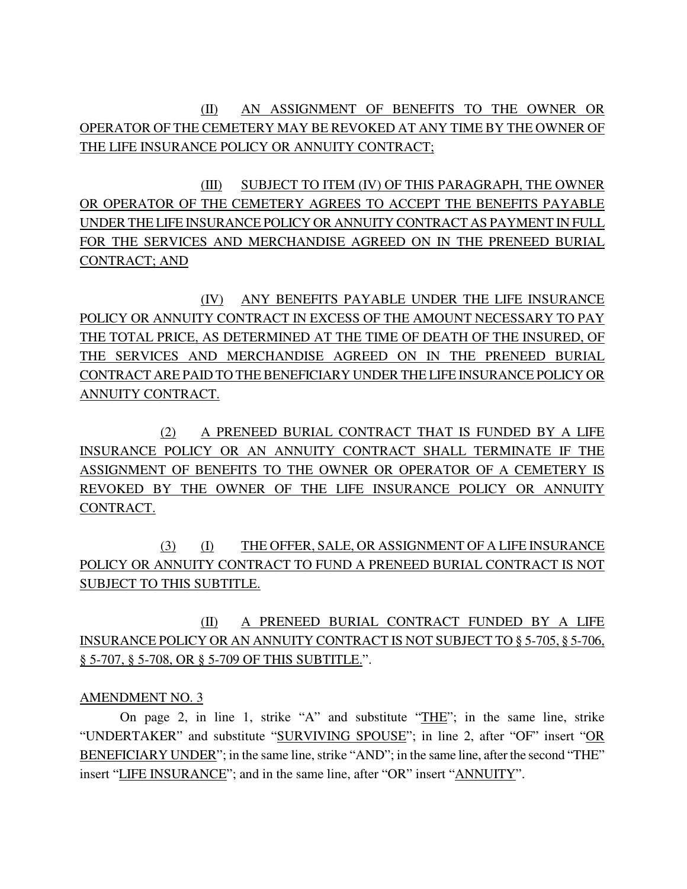(II) AN ASSIGNMENT OF BENEFITS TO THE OWNER OR OPERATOR OF THE CEMETERY MAY BE REVOKED AT ANY TIME BY THE OWNER OF THE LIFE INSURANCE POLICY OR ANNUITY CONTRACT;

(III) SUBJECT TO ITEM (IV) OF THIS PARAGRAPH, THE OWNER OR OPERATOR OF THE CEMETERY AGREES TO ACCEPT THE BENEFITS PAYABLE UNDER THE LIFE INSURANCE POLICY OR ANNUITY CONTRACT AS PAYMENT IN FULL FOR THE SERVICES AND MERCHANDISE AGREED ON IN THE PRENEED BURIAL CONTRACT; AND

(IV) ANY BENEFITS PAYABLE UNDER THE LIFE INSURANCE POLICY OR ANNUITY CONTRACT IN EXCESS OF THE AMOUNT NECESSARY TO PAY THE TOTAL PRICE, AS DETERMINED AT THE TIME OF DEATH OF THE INSURED, OF THE SERVICES AND MERCHANDISE AGREED ON IN THE PRENEED BURIAL CONTRACT ARE PAID TO THE BENEFICIARY UNDER THE LIFE INSURANCE POLICY OR ANNUITY CONTRACT.

(2) A PRENEED BURIAL CONTRACT THAT IS FUNDED BY A LIFE INSURANCE POLICY OR AN ANNUITY CONTRACT SHALL TERMINATE IF THE ASSIGNMENT OF BENEFITS TO THE OWNER OR OPERATOR OF A CEMETERY IS REVOKED BY THE OWNER OF THE LIFE INSURANCE POLICY OR ANNUITY CONTRACT.

(3) (I) THE OFFER, SALE, OR ASSIGNMENT OF A LIFE INSURANCE POLICY OR ANNUITY CONTRACT TO FUND A PRENEED BURIAL CONTRACT IS NOT SUBJECT TO THIS SUBTITLE.

(II) A PRENEED BURIAL CONTRACT FUNDED BY A LIFE INSURANCE POLICY OR AN ANNUITY CONTRACT IS NOT SUBJECT TO § 5-705, § 5-706, § 5-707, § 5-708, OR § 5-709 OF THIS SUBTITLE.".

## AMENDMENT NO. 3

On page 2, in line 1, strike "A" and substitute "THE"; in the same line, strike "UNDERTAKER" and substitute "SURVIVING SPOUSE"; in line 2, after "OF" insert "OR BENEFICIARY UNDER"; in the same line, strike "AND"; in the same line, after the second "THE" insert "LIFE INSURANCE"; and in the same line, after "OR" insert "ANNUITY".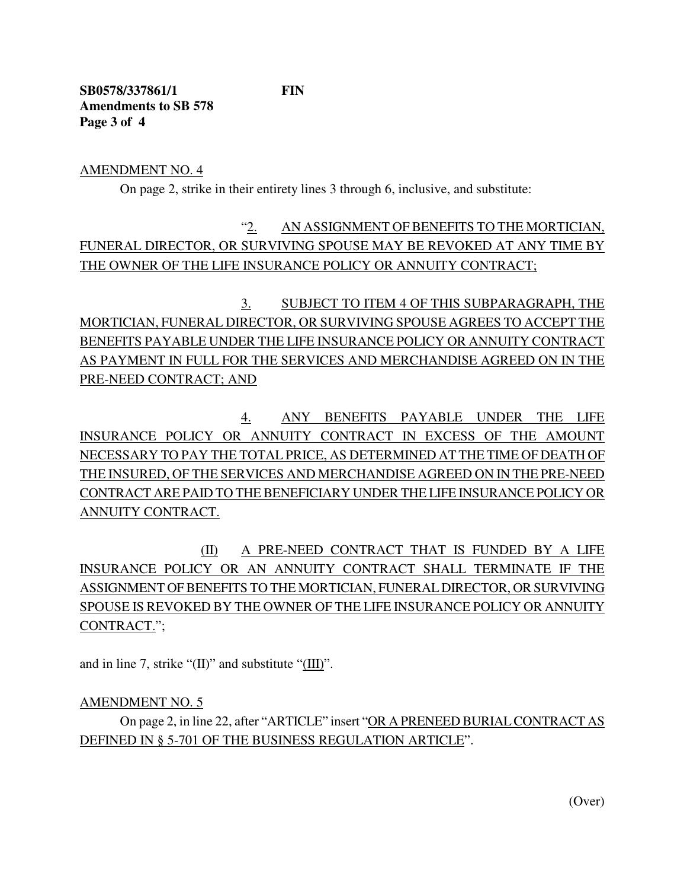**SB0578/337861/1 FIN Amendments to SB 578 Page 3 of 4**

AMENDMENT NO. 4

On page 2, strike in their entirety lines 3 through 6, inclusive, and substitute:

"2. AN ASSIGNMENT OF BENEFITS TO THE MORTICIAN, FUNERAL DIRECTOR, OR SURVIVING SPOUSE MAY BE REVOKED AT ANY TIME BY THE OWNER OF THE LIFE INSURANCE POLICY OR ANNUITY CONTRACT;

3. SUBJECT TO ITEM 4 OF THIS SUBPARAGRAPH, THE MORTICIAN, FUNERAL DIRECTOR, OR SURVIVING SPOUSE AGREES TO ACCEPT THE BENEFITS PAYABLE UNDER THE LIFE INSURANCE POLICY OR ANNUITY CONTRACT AS PAYMENT IN FULL FOR THE SERVICES AND MERCHANDISE AGREED ON IN THE PRE-NEED CONTRACT; AND

4. ANY BENEFITS PAYABLE UNDER THE LIFE INSURANCE POLICY OR ANNUITY CONTRACT IN EXCESS OF THE AMOUNT NECESSARY TO PAY THE TOTAL PRICE, AS DETERMINED AT THE TIME OF DEATH OF THE INSURED, OF THE SERVICES AND MERCHANDISE AGREED ON IN THE PRE-NEED CONTRACT ARE PAID TO THE BENEFICIARY UNDER THE LIFE INSURANCE POLICY OR ANNUITY CONTRACT.

(II) A PRE-NEED CONTRACT THAT IS FUNDED BY A LIFE INSURANCE POLICY OR AN ANNUITY CONTRACT SHALL TERMINATE IF THE ASSIGNMENT OF BENEFITS TO THE MORTICIAN, FUNERAL DIRECTOR, OR SURVIVING SPOUSE IS REVOKED BY THE OWNER OF THE LIFE INSURANCE POLICY OR ANNUITY CONTRACT.";

and in line 7, strike " $(II)$ " and substitute " $(III)$ ".

## AMENDMENT NO. 5

On page 2, in line 22, after "ARTICLE" insert "OR A PRENEED BURIALCONTRACT AS DEFINED IN § 5-701 OF THE BUSINESS REGULATION ARTICLE".

(Over)